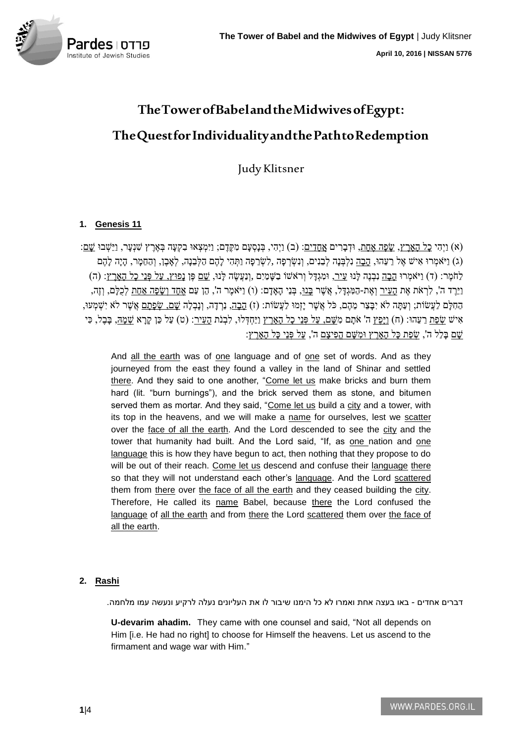

# **The Tower of Babel and the Midwives ofEgypt: The Quest for Individuality and the Path to Redemption**

Judy Klitsner

# **1. Genesis 11**

(א) וַיְהִי <u>כַל הָאָרֶץ, שַׂפָּה אָחַת,</u> וּדְבָרִים <u>אֲחָדִים</u>: (ב) וַיִּהְי, בְּנָסְעָם מְקֶדֶם; וַיִּמְצְאוּ בְקְעָה בְּאֵרֶץ שְׁנָעָר, וַיֵּשְׁבוּ <u>שַׁם</u>: (ג) וַיֹּאמְרוּ אִישׁ אֶל רֵעֵהוּ, הָבָה נִלְבְּנָה לְבֵנִים, וְנִשְׂרְפָה ,לִשְׂרֵפָה וַתְּהִי לַהֶם הַלִּבְנָה, לִאֲבֶן, וְהַחֶּמַר, הָיָה לַהֶם לַחֹמֶר: (ד) וַיֹּאמְרוּ הִבָה נִבְנֶה לְּנוּ עִיר, וּמְגִדּל וְרֹאֹשׁוֹ בַשִּׁמַיִם ,וְנַעֲשֶׂה לְּנוּ, שֵׁם פֶּן נִפּוּץ, עַל פְּנֵי כַל הָאָרֶץ: (ה) וַיֵּרֶד ה', לִרְאֹת אֶת <u>הַעִּיר</u> וְאֶת-הַמְּגְדָּל, אֲשֶׁר <u>בְּנוּ,</u> בְּנֵי הָאָדָם: (ו) וַיֹּאמֶר ה', הֶן עַם <u>אֶחָד וְשַׂפָּה אַחַת</u> לְכָלָם, וְזֶה, ֹהָחִלָּם לַעֲשׂוֹת; וְעַתָּה לֹּא יִבָּצֶר מֶהֶם, כֹּל אֲשֶׁר יַזְמוּ לַעֲשׂוֹת: (ז) הָבָה, נֵרְדָה, וְנַבְלָה שֵׁם, שִׂפָּתַם אֲשֶׁר לֹא יִשְׁמְעוּ, אִישׁ <u>שָׂפַּת</u> רֵעֵהּוּ: (ח) וַיָּפֶץ ה' אֹתָם מִשָּׁם<u>, עַל פְּנֵי כָל הָאָרֶץ וַיַּחְ</u>דְלוּ, לִבְנֹת <u>הָעִיר</u>: (ט) עַל כֵּן קָרָא <u>שָׁמָהּ,</u> בָּבֶל, כִּי <u>ְשָׁם בָּלַל ה', שָׂפָת כָּל הָאָרֶץ וּמָשֵׁם הַפִּיצַם ה', עַל פְּנֵי כַּל הָאָרֶץ</u>:

And all the earth was of one language and of one set of words. And as they journeyed from the east they found a valley in the land of Shinar and settled there. And they said to one another, "Come let us make bricks and burn them hard (lit. "burn burnings"), and the brick served them as stone, and bitumen served them as mortar. And they said, "Come let us build a city and a tower, with its top in the heavens, and we will make a name for ourselves, lest we scatter over the face of all the earth. And the Lord descended to see the city and the tower that humanity had built. And the Lord said, "If, as one nation and one language this is how they have begun to act, then nothing that they propose to do will be out of their reach. Come let us descend and confuse their language there so that they will not understand each other's language. And the Lord scattered them from there over the face of all the earth and they ceased building the city. Therefore, He called its name Babel, because there the Lord confused the language of all the earth and from there the Lord scattered them over the face of all the earth.

## **2. Rashi**

דברים אחדים - באו בעצה אחת ואמרו לא כל הימנו שיבור לו את העליונים נעלה לרקיע ונעשה עמו מלחמה.

**U-devarim ahadim.** They came with one counsel and said, "Not all depends on Him [i.e. He had no right] to choose for Himself the heavens. Let us ascend to the firmament and wage war with Him."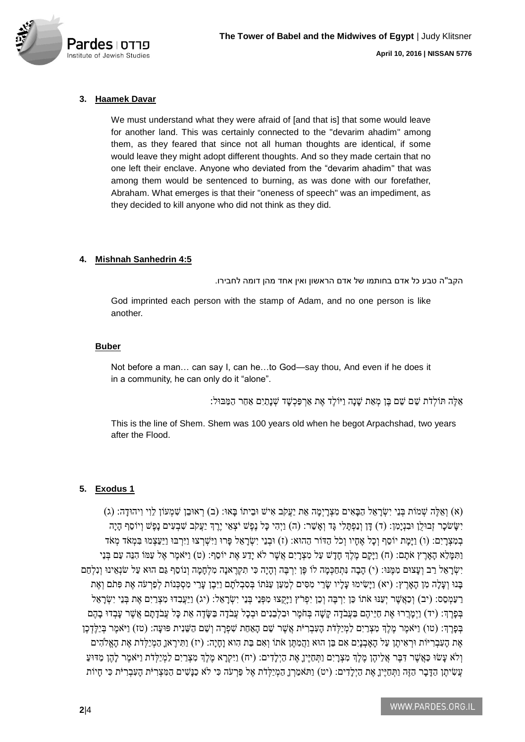

## **3. Haamek Davar**

We must understand what they were afraid of [and that is] that some would leave for another land. This was certainly connected to the "devarim ahadim" among them, as they feared that since not all human thoughts are identical, if some would leave they might adopt different thoughts. And so they made certain that no one left their enclave. Anyone who deviated from the "devarim ahadim" that was among them would be sentenced to burning, as was done with our forefather, Abraham. What emerges is that their "oneness of speech" was an impediment, as they decided to kill anyone who did not think as they did.

## **4. Mishnah Sanhedrin 4:5**

הקב''ה טבע כל אדם בחותמו של אדם הראשון ואין אחד מהן דומה לחבירו.

God imprinted each person with the stamp of Adam, and no one person is like another.

#### **Buber**

Not before a man… can say I, can he…to God—say thou, And even if he does it in a community, he can only do it "alone".

אֵלֶה תּוֹלְדֹּת שֵׁם בֵן מְאֵת שַׁנַה וַיּוֹלֵד אֶת אַרְפַּכְשַׁד שָׁנַתַיִם אַחַר הַמַּבּוּל:

This is the line of Shem. Shem was 100 years old when he begot Arpachshad, two years after the Flood.

## **5. Exodus 1**

(א) וְאֵלֶה שְׁמִעוֹן לְוִי וִיהוּדָה: (ג) (אָבָּה יִשְׂרָאֵל הַבָּאִים מִצְרָיִמֶה אֵת יַעֲקֹּב אִישׁ וּבֵיתוֹ בָּאוּ: (ב) רְאוּבֵן שִׁמְעוֹן לִוִי וִיהוּדָה: (ג) יְשֹׁשׂכר זְבוּלֵן וּבְנִימִן: (ד) דִּן וְנַפְתִּלִי גִּד וְאֹשֶׁר: (ה) וַיְהָי כַּל נֶפֶשׁ יֹצְאֵי יֵרֶדְ יַעֲקֹב שֶׁבְעִים נִפֶּשׁ וְיוֹסֵף הִיה בְמְצְרֵים: (ו) וַיָּמַת יוֹסֵף וְכָל אֶחָיו וְכֹל הַדּוֹר הַהוּא: (ז) וּבְנֵי יִשְׂרַאֱל פָּרוּ וַיִּשְׁרְצוּ וַיִּרְבּוּ וַיַּעֲצְמוּ בִּמְאֹד מְאֹד וַתִּמַּלֵא הָאָרֵץ אֹתַם: (ח) וַיַּקַם מֶלֶךְ חָדָשׁ עַל מִצְרָיִם אֲשֶׁר לֹא יַדַע אֶת יוֹסֵף: (ט) וַיֹּאמֶר אֶל עַמּוֹ הִנֶּה עַם בְּנֵי יִשְׂרָאֵל רַב וְעָצוּם מִמֶּנּוּ: (י) הָבָה נִתְחַכְמָה לוֹ פֶּן יִרְבֶּה וְהָיָה כִּי תִקְרֶאנָה מִלְחָמָה וְנוֹסַף גַּם הוּא עַל שֹׁנְאֵינוּ וְנִלְחַם בָּנוּ וְעָלָה מִן הָאָרֵץ: (יא) וַיַּשִׂימוּ עַלָיו שֶׂרֵי מְסִים לְמַעַן עַנּתּוֹ בִּסְבְלֹתָם וַיִּבֵן עָרֵי מְסִכְּנוֹת לְפַרְעֹה אֶת פִּתֹם וְאֶת רַעַמְסֵם: (יִב) וְכַאֲשֶר יְעַנּוּ אֹתוֹ כֵּן יִרְבֶה וְכֵן יִפְרֹץ וַיָּקֲצוּ מִפְּנֵי דְּעֲרָ אֵל: (יג) וַיַּעֲבָדוּ מִצְרַיִם אֶת בְּנֵי יִשְׂרָאֵל בְּפָרֶךְ: (יד) וַיִּמְרֵרוּ אֶת חַיֵּיהֶם בַּעֲבֹדָה קַשָּׁה בְּחֹמֶר וּבְלְבָנִים וּבְכָל עֲבֹדָה בָשֶׂדֶה אֶת כָּל עֲבֹדַתָּם אֲשֶׁר עַבְדוּ בַהֶם בְּכָּרֶךְּ: (טו) וַיֹּאמֶר מֶלֶךְ מְצָרַיִם לַמְיַלְדֹת הָעָבְרִיֹּת אֲשֶׁר שֵׁם הָאַחַת שִׁפְרַה וְשֵׁם הַשֵּׁנִית פּוּעַה: (טז) וַיּּאמֵר בְּיַלֵּדְכֶן אֶת הַעָּבְרִיּוֹת וּרְאִיתֵן עַל הָאֲבְנֵיִם אִם בֵּן הוּא וַהֲמִתֶּן אֹתוֹ וְאִם בַּת הָוא וַחֲיֵה: (יז) וַתִּירֵאוֹ הַמְיַלְדֹת אֶת הָאֱלֹהִים וְלֹּא עָשׂוּ כַּאֲשֶׁר דִּבֶּר אֲלֵיהֶן מֶלֶךְ מִצְרָיִם וַתְּחַיֶּיןָ אֶת הַיְלָדִים: (יח) וַיִּקְרָא מֶלֶךְ מִצְרַיִם לַמְיַלְדֹת וַיֹּאמֶר לַהֵן מִדּוּעַ עֲשִׂיתֶן הַדָּבָר הַזֶּה וַתְּחַיֵּיןָ אֶת הַיְלָדִים: (יט) וַתֹּאמַרְן הַמְיַלְדֹת אֶל פַּרְעֹּה כִּי לֹּא כַנָּשִׁים הַמִּצְרִיֹּת הָעִבְרִיֹּת כִּי חָיוֹת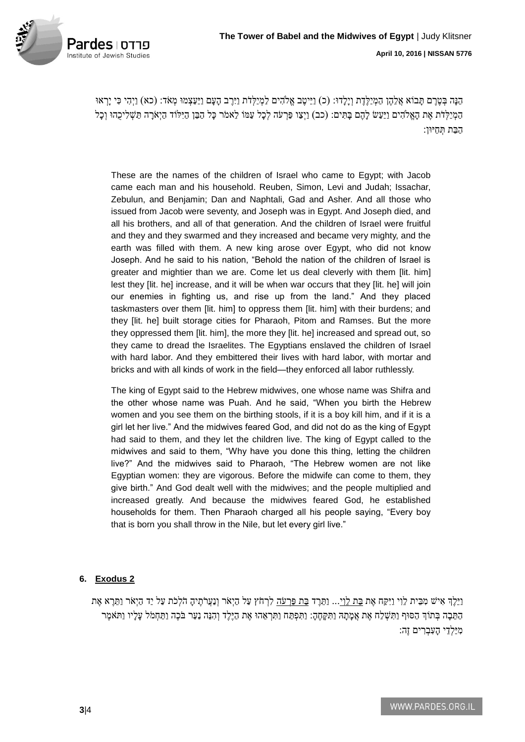

הֵּנָּה בְטֶרֶם תָּבוֹא אֲלֵהֶן הַמְיַלֵּדֶת וְיָלָדוּ: (כ) וַיֵּיטֶב אֱלֹהִים לַמְיַלְדֹת וַיִּרֶב הָעָם וַיַּעַצְמוּ מְאֹד: (כא) וַיְהִי כִּי יָרְאוּ הַמְיַלְדֹת אֶת הָאֱלֹהִים וַיַּעַשׂ לָהֶם בָּתִּים: (כב) וַיְצַו פַּרְעֹה לְכָל עַמּוֹ לֵאמֹר כָּל הַבֵּן הַיִּלֹוֹד הַיְאֹרָה תַּשְׁלִיכֻהוּ וְכָל הַבַת תְ חַיּון:

These are the names of the children of Israel who came to Egypt; with Jacob came each man and his household. Reuben, Simon, Levi and Judah; Issachar, Zebulun, and Benjamin; Dan and Naphtali, Gad and Asher. And all those who issued from Jacob were seventy, and Joseph was in Egypt. And Joseph died, and all his brothers, and all of that generation. And the children of Israel were fruitful and they and they swarmed and they increased and became very mighty, and the earth was filled with them. A new king arose over Egypt, who did not know Joseph. And he said to his nation, "Behold the nation of the children of Israel is greater and mightier than we are. Come let us deal cleverly with them [lit. him] lest they [lit. he] increase, and it will be when war occurs that they [lit. he] will join our enemies in fighting us, and rise up from the land." And they placed taskmasters over them [lit. him] to oppress them [lit. him] with their burdens; and they [lit. he] built storage cities for Pharaoh, Pitom and Ramses. But the more they oppressed them [lit. him], the more they [lit. he] increased and spread out, so they came to dread the Israelites. The Egyptians enslaved the children of Israel with hard labor. And they embittered their lives with hard labor, with mortar and bricks and with all kinds of work in the field—they enforced all labor ruthlessly.

The king of Egypt said to the Hebrew midwives, one whose name was Shifra and the other whose name was Puah. And he said, "When you birth the Hebrew women and you see them on the birthing stools, if it is a boy kill him, and if it is a girl let her live." And the midwives feared God, and did not do as the king of Egypt had said to them, and they let the children live. The king of Egypt called to the midwives and said to them, "Why have you done this thing, letting the children live?" And the midwives said to Pharaoh, "The Hebrew women are not like Egyptian women: they are vigorous. Before the midwife can come to them, they give birth." And God dealt well with the midwives; and the people multiplied and increased greatly. And because the midwives feared God, he established households for them. Then Pharaoh charged all his people saying, "Every boy that is born you shall throw in the Nile, but let every girl live."

## **6. Exodus 2**

ַוְיֵּלֶדְ אִישׁ מְּבֵית לֵוִי וַיִּקַח אֶת בַת לֵוְי... וַתֲּרֵד בַת פַּרְעֹּה לִרְחֹץ עַל הַיְאֹר וְנַעֲרֹתֶיהַ הֹלְכֹת עַל יַד הַיְאֹר וַתֲרֵא אֶת הַתֵּבָה בְּתוֹךְ הַסּוּף וַתִּשְׁלַח אֶת אֲמָתָהּ וַתִּקְחֶהָ: וַתִּפְתַּח וַתִּרְאֵהוּ אֶת הַיֶּלֶד וְהִנֵּה נַעַר בֹּכֶה וַתַּחָמֹל עָלָיו וַתֹּאמֶר מִיַּלְדֵי הָעָבְרִים זֶה: